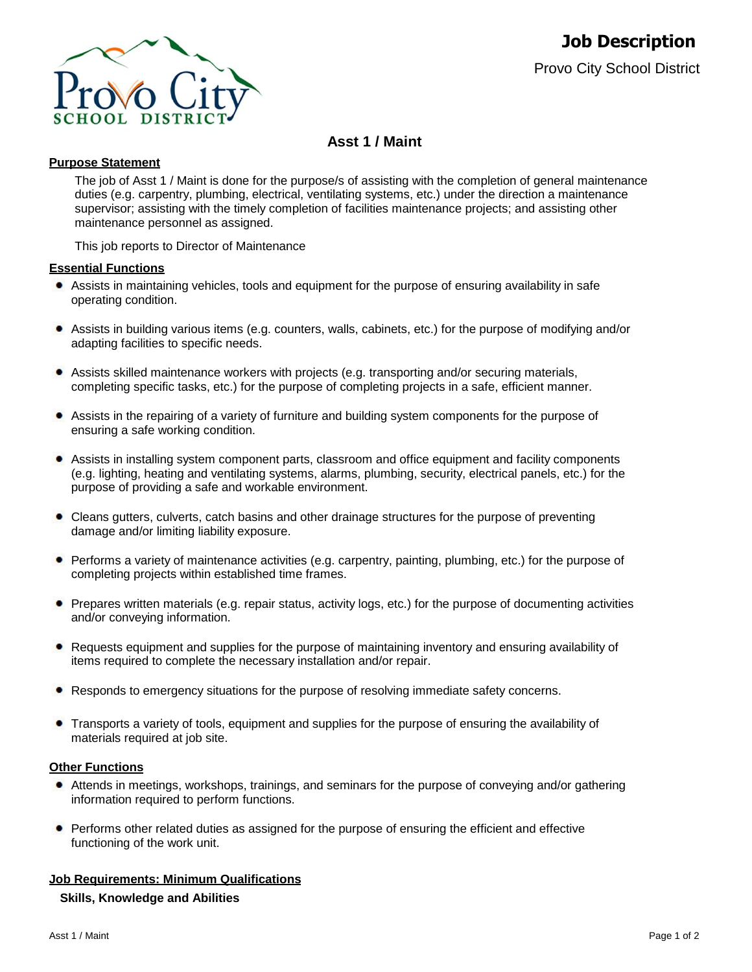

# **Asst 1 / Maint**

# **Purpose Statement**

The job of Asst 1 / Maint is done for the purpose/s of assisting with the completion of general maintenance duties (e.g. carpentry, plumbing, electrical, ventilating systems, etc.) under the direction a maintenance supervisor; assisting with the timely completion of facilities maintenance projects; and assisting other maintenance personnel as assigned.

This job reports to Director of Maintenance

# **Essential Functions**

- Assists in maintaining vehicles, tools and equipment for the purpose of ensuring availability in safe operating condition.
- ٠ Assists in building various items (e.g. counters, walls, cabinets, etc.) for the purpose of modifying and/or adapting facilities to specific needs.
- Assists skilled maintenance workers with projects (e.g. transporting and/or securing materials, completing specific tasks, etc.) for the purpose of completing projects in a safe, efficient manner.
- Assists in the repairing of a variety of furniture and building system components for the purpose of ensuring a safe working condition.
- Assists in installing system component parts, classroom and office equipment and facility components (e.g. lighting, heating and ventilating systems, alarms, plumbing, security, electrical panels, etc.) for the purpose of providing a safe and workable environment.
- Cleans gutters, culverts, catch basins and other drainage structures for the purpose of preventing damage and/or limiting liability exposure.
- Performs a variety of maintenance activities (e.g. carpentry, painting, plumbing, etc.) for the purpose of completing projects within established time frames.
- Prepares written materials (e.g. repair status, activity logs, etc.) for the purpose of documenting activities and/or conveying information.
- Requests equipment and supplies for the purpose of maintaining inventory and ensuring availability of items required to complete the necessary installation and/or repair.
- Responds to emergency situations for the purpose of resolving immediate safety concerns.
- Transports a variety of tools, equipment and supplies for the purpose of ensuring the availability of materials required at job site.

### **Other Functions**

- Attends in meetings, workshops, trainings, and seminars for the purpose of conveying and/or gathering information required to perform functions.
- Performs other related duties as assigned for the purpose of ensuring the efficient and effective functioning of the work unit.

# **Job Requirements: Minimum Qualifications**

#### **Skills, Knowledge and Abilities**